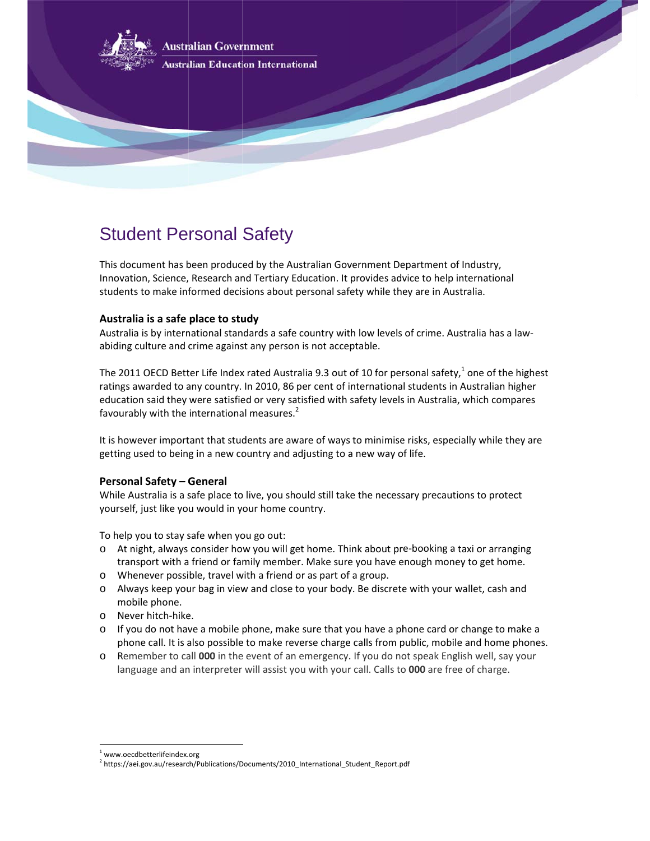

**Australian Education International** 

# Student Personal Safety

This document has been produced by the Australian Government Department of Industry, Innovation, Science, Research and Tertiary Education. It provides advice to help international students to make informed decisions about personal safety while they are in Australia.

# **Australia is a safe place to study**

Australia is by international standards a safe country with low levels of crime. Australia has a lawabiding culture and crime against any person is not acceptable.

The 2011 OECD Better Life Index rated Australia 9.3 out of 10 for personal safety,<sup>1</sup> one of the highest ratings awarded to any country. In 2010, 86 per cent of international students in Australian higher education said they were satisfied or very satisfied with safety levels in Australia, which compares favourably with the international measures.<sup>2</sup>

favourably with the international measures.<sup>2</sup><br>It is however important that students are aware of ways to minimise risks, especially while they are getting used to being in a new country and adjusting to a new way of life.

# **Persona al Safety – G General**

While Australia is a safe place to live, you should still take the necessary precautions to protect yourself f, just like yo u would in y our home co ountry.

To help you to stay safe when you go out:

 $\overline{a}$ 

- o At night, always consider how you will get home. Think about pre-booking a taxi or arranging transport with a friend or family member. Make sure you have enough money to get home.
- o Whenever possible, travel with a friend or as part of a group.
- o Always keep your bag in view and close to your body. Be discrete with your wallet, cash and mob bile phone.
- o Nev er hitch‐hike e.
- o If you do not have a mobile phone, make sure that you have a phone card or change to make a phone call. It is also possible to make reverse charge calls from public, mobile and home phones.
- o Remember to call 000 in the event of an emergency. If you do not speak English well, say your language and an interpreter will assist you with your call. Calls to 000 are free of charge.

l

 $\overline{a}$ 

<sup>&</sup>lt;sup>1</sup> www.oecdbetterlifeindex.org

<sup>&</sup>lt;sup>2</sup> https://aei.gov.au/research/Publications/Documents/2010\_International\_Student\_Report.pdf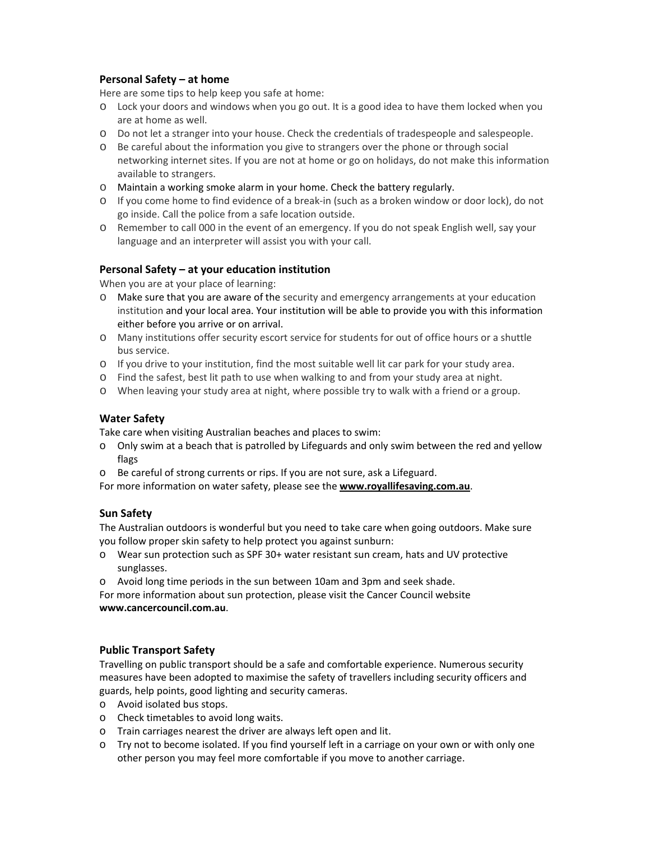## **Personal Safety – at home**

Here are some tips to help keep you safe at home:

- o Lock your doors and windows when you go out. It is a good idea to have them locked when you are at home as well.
- o Do not let a stranger into your house. Check the credentials of tradespeople and salespeople.
- o Be careful about the information you give to strangers over the phone or through social networking internet sites. If you are not at home or go on holidays, do not make this information available to strangers.
- o Maintain a working smoke alarm in your home. Check the battery regularly.
- o If you come home to find evidence of a break‐in (such as a broken window or door lock), do not go inside. Call the police from a safe location outside.
- o Remember to call 000 in the event of an emergency. If you do not speak English well, say your language and an interpreter will assist you with your call.

#### **Personal Safety – at your education institution**

When you are at your place of learning:

- o Make sure that you are aware of the security and emergency arrangements at your education institution and your local area. Your institution will be able to provide you with this information either before you arrive or on arrival.
- o Many institutions offer security escort service for students for out of office hours or a shuttle bus service.
- o If you drive to your institution, find the most suitable well lit car park for your study area.
- o Find the safest, best lit path to use when walking to and from your study area at night.
- o When leaving your study area at night, where possible try to walk with a friend or a group.

#### **Water Safety**

Take care when visiting Australian beaches and places to swim:

- o Only swim at a beach that is patrolled by Lifeguards and only swim between the red and yellow flags
- o Be careful of strong currents or rips. If you are not sure, ask a Lifeguard.
- For more information on water safety, please see the **www.royallifesaving.com.au**.

#### **Sun Safety**

The Australian outdoors is wonderful but you need to take care when going outdoors. Make sure you follow proper skin safety to help protect you against sunburn:

- o Wear sun protection such as SPF 30+ water resistant sun cream, hats and UV protective sunglasses.
- o Avoid long time periods in the sun between 10am and 3pm and seek shade.

For more information about sun protection, please visit the Cancer Council website **www.cancercouncil.com.au**.

#### **Public Transport Safety**

Travelling on public transport should be a safe and comfortable experience. Numerous security measures have been adopted to maximise the safety of travellers including security officers and guards, help points, good lighting and security cameras.

- o Avoid isolated bus stops.
- o Check timetables to avoid long waits.
- o Train carriages nearest the driver are always left open and lit.
- o Try not to become isolated. If you find yourself left in a carriage on your own or with only one other person you may feel more comfortable if you move to another carriage.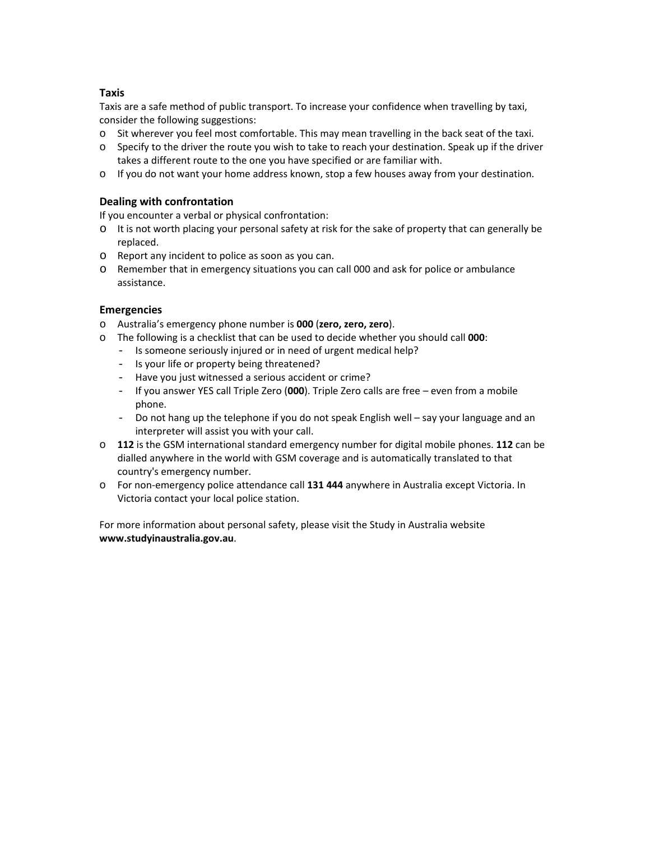## **Taxis**

Taxis are a safe method of public transport. To increase your confidence when travelling by taxi, consider the following suggestions:

- o Sit wherever you feel most comfortable. This may mean travelling in the back seat of the taxi.
- o Specify to the driver the route you wish to take to reach your destination. Speak up if the driver takes a different route to the one you have specified or are familiar with.
- o If you do not want your home address known, stop a few houses away from your destination.

## **Dealing with confrontation**

If you encounter a verbal or physical confrontation:

- o It is not worth placing your personal safety at risk for the sake of property that can generally be replaced.
- o Report any incident to police as soon as you can.
- o Remember that in emergency situations you can call 000 and ask for police or ambulance assistance.

## **Emergencies**

- o Australia's emergency phone number is **000** (**zero, zero, zero**).
- o The following is a checklist that can be used to decide whether you should call **000**:
	- Is someone seriously injured or in need of urgent medical help?
	- Is your life or property being threatened?
	- Have you just witnessed a serious accident or crime?
	- If you answer YES call Triple Zero (**000**). Triple Zero calls are free even from a mobile phone.
	- Do not hang up the telephone if you do not speak English well say your language and an interpreter will assist you with your call.
- o **112** is the GSM international standard emergency number for digital mobile phones. **112** can be dialled anywhere in the world with GSM coverage and is automatically translated to that country's emergency number.
- o For non‐emergency police attendance call **131 444** anywhere in Australia except Victoria. In Victoria contact your local police station.

For more information about personal safety, please visit the Study in Australia website **www.studyinaustralia.gov.au**.